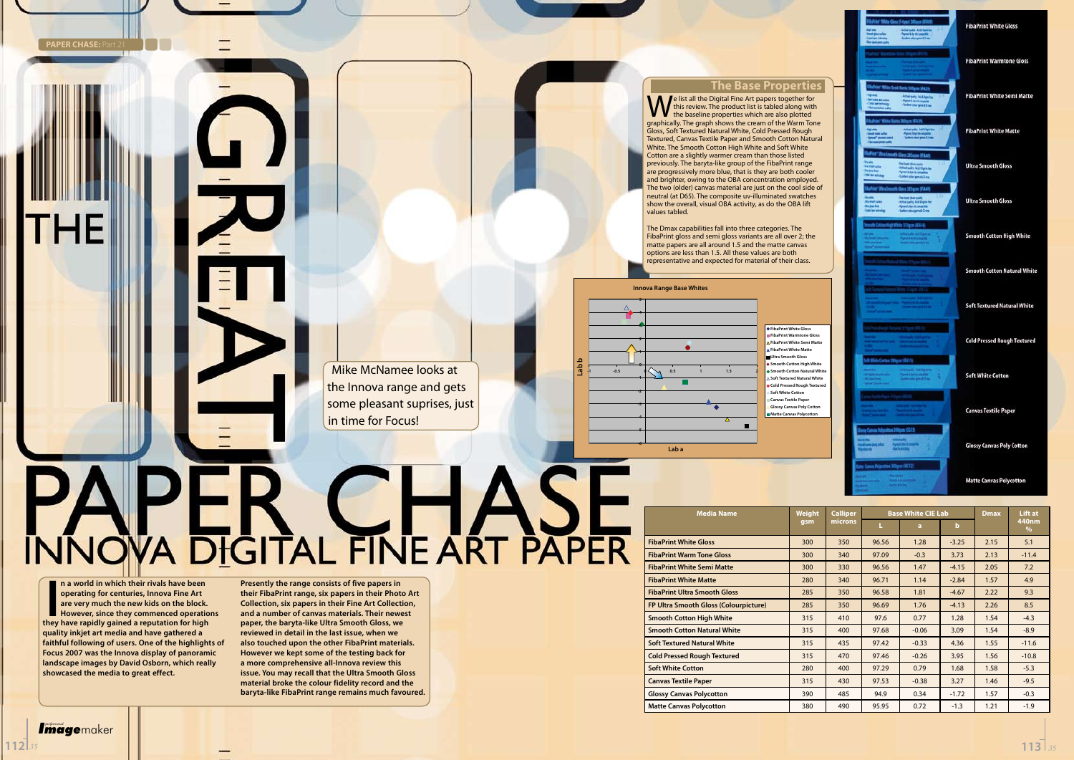#### **The Base Properties**

**Pe list all the Digital Fine Art papers together for** this review. The product list is tabled along with the baseline properties which are also plotted graphically. The graph shows the cream of the Warm Tone Gloss, Soft Textured Natural White, Cold Pressed Rough Textured, Canvas Textile Paper and Smooth Cotton Natural White. The Smooth Cotton High White and Soft White Cotton are a slightly warmer cream than those listed previously. The baryta-like group of the FibaPrint range are progressively more blue, that is they are both cooler and brighter, owing to the OBA concentration employed. The two (older) canvas material are just on the cool side of neutral (at D65). The composite uv-illuminated swatches show the overall, visual OBA activity, as do the OBA lift values tabled.

The Dmax capabilities fall into three categories. The FibaPrint gloss and semi gloss variants are all over 2; the matte papers are all around 1.5 and the matte canvas options are less than 1.5. All these values are both representative and expected for material of their class.

> **FibaPrint White Gloss FibaPrint Warmtone Gloss FibaPrint White Semi Matte FibaPrint White Matte Itra Smooth Gloss Smooth Cotton High Whit Smooth Cotton Natural White Soft Textured Natural White Cold Pressed Rough Texture Soft White Cotton Canvas Textile Pape Glossy Canvas Poly Cotton Matte Canvas Polycotton**

# **NAPER CHASE**

**I n** a world in which their rivals have been operating for centuries, Innova Fine Art are very much the new kids on the block.<br>However, since they commenced operation they have rapidly gained a reputation for high **operating for centuries, Innova Fine Art are very much the new kids on the block. However, since they commenced operations quality inkjet art media and have gathered a faithful following of users. One of the highlights of Focus 2007 was the Innova display of panoramic landscape images by David Osborn, which really showcased the media to great effect.** 

| <b>Media Name</b>                     | <b>Weight</b> | <b>Calliper</b> | <b>Base White CIE Lab</b> |         | <b>Dmax</b> | Lift at |                        |
|---------------------------------------|---------------|-----------------|---------------------------|---------|-------------|---------|------------------------|
|                                       | qsm           | microns         | L                         | a       | $\mathbf b$ |         | 440nm<br>$\frac{0}{0}$ |
| <b>FibaPrint White Gloss</b>          | 300           | 350             | 96.56                     | 1.28    | $-3.25$     | 2.15    | 5.1                    |
| <b>FibaPrint Warm Tone Gloss</b>      | 300           | 340             | 97.09                     | $-0.3$  | 3.73        | 2.13    | $-11.4$                |
| <b>FibaPrint White Semi Matte</b>     | 300           | 330             | 96.56                     | 1.47    | $-4.15$     | 2.05    | 7.2                    |
| <b>FibaPrint White Matte</b>          | 280           | 340             | 96.71                     | 1.14    | $-2.84$     | 1.57    | 4.9                    |
| <b>FibaPrint Ultra Smooth Gloss</b>   | 285           | 350             | 96.58                     | 1.81    | $-4.67$     | 2.22    | 9.3                    |
| FP Ultra Smooth Gloss (Colourpicture) | 285           | 350             | 96.69                     | 1.76    | $-4.13$     | 2.26    | 8.5                    |
| <b>Smooth Cotton High White</b>       | 315           | 410             | 97.6                      | 0.77    | 1.28        | 1.54    | $-4.3$                 |
| <b>Smooth Cotton Natural White</b>    | 315           | 400             | 97.68                     | $-0.06$ | 3.09        | 1.54    | $-8.9$                 |
| <b>Soft Textured Natural White</b>    | 315           | 435             | 97.42                     | $-0.33$ | 4.36        | 1.55    | $-11.6$                |
| <b>Cold Pressed Rough Textured</b>    | 315           | 470             | 97.46                     | $-0.26$ | 3.95        | 1.56    | $-10.8$                |
| <b>Soft White Cotton</b>              | 280           | 400             | 97.29                     | 0.79    | 1.68        | 1.58    | $-5.3$                 |
| <b>Canvas Textile Paper</b>           | 315           | 430             | 97.53                     | $-0.38$ | 3.27        | 1.46    | $-9.5$                 |
| <b>Glossy Canvas Polycotton</b>       | 390           | 485             | 94.9                      | 0.34    | $-1.72$     | 1.57    | $-0.3$                 |
| <b>Matte Canvas Polycotton</b>        | 380           | 490             | 95.95                     | 0.72    | $-1.3$      | 1.21    | $-1.9$                 |

**PAPER CHASE: P** 



**FibaPrint White Gloss** 

**FibaPrint Warmtone Gloss** 

**FibaPrint White Semi Matte** 

**FibaPrint White Matte** 

**Ultra Smooth Gloss** 

**Ultra Smooth Gloss** 

**Smooth Cotton High White** 

**Smooth Cotton Natural White** 

**Soft Textured Natural White** 

**Cold Pressed Rough Textured** 

**Soft White Cotton** 

**Canvas Textile Paper** 

**Glossy Canvas Poly Cotton** 

#### **Matte Canvas Polycotton**



**Presently the range consists of five papers in their FibaPrint range, six papers in their Photo Art Collection, six papers in their Fine Art Collection, and a number of canvas materials. Their newest paper, the baryta-like Ultra Smooth Gloss, we reviewed in detail in the last issue, when we also touched upon the other FibaPrint materials. However we kept some of the testing back for a more comprehensive all-Innova review this issue. You may recall that the Ultra Smooth Gloss material broke the colour fidelity record and the baryta-like FibaPrint range remains much favoured.**

Mike McNamee looks at the Innova range and gets some pleasant suprises, just

in time for Focus!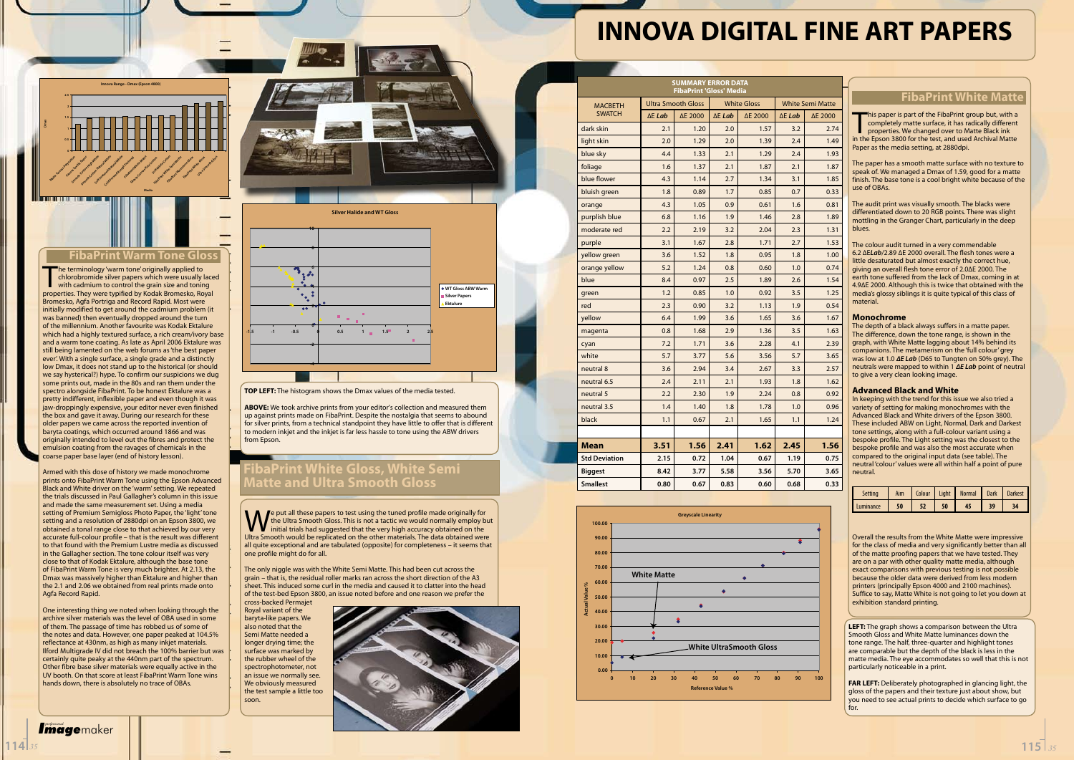| <b>SUMMARY ERROR DATA</b><br><b>FibaPrint 'Gloss' Media</b> |                           |         |                    |         |                         |         |  |  |  |
|-------------------------------------------------------------|---------------------------|---------|--------------------|---------|-------------------------|---------|--|--|--|
| <b>MACBETH</b>                                              | <b>Ultra Smooth Gloss</b> |         | <b>White Gloss</b> |         | <b>White Semi Matte</b> |         |  |  |  |
| <b>SWATCH</b>                                               | $\Delta E$ Lab            | ΔE 2000 | $\Delta E$ Lab     | ΔE 2000 | $\Delta E$ Lab          | ΔE 2000 |  |  |  |
| dark skin                                                   | 2.1                       | 1.20    | 2.0                | 1.57    | 3.2                     | 2.74    |  |  |  |
| light skin                                                  | 2.0                       | 1.29    | 2.0                | 1.39    | 2.4                     | 1.49    |  |  |  |
| blue sky                                                    | 4.4                       | 1.33    | 2.1                | 1.29    | 2.4                     | 1.93    |  |  |  |
| foliage                                                     | 1.6                       | 1.37    | 2.1                | 1.87    | 2.1                     | 1.87    |  |  |  |
| blue flower                                                 | 4.3                       | 1.14    | 2.7                | 1.34    | 3.1                     | 1.85    |  |  |  |
| bluish green                                                | 1.8                       | 0.89    | 1.7                | 0.85    | 0.7                     | 0.33    |  |  |  |
| orange                                                      | 4.3                       | 1.05    | 0.9                | 0.61    | 1.6                     | 0.81    |  |  |  |
| purplish blue                                               | 6.8                       | 1.16    | 1.9                | 1.46    | 2.8                     | 1.89    |  |  |  |
| moderate red                                                | 2.2                       | 2.19    | 3.2                | 2.04    | 2.3                     | 1.31    |  |  |  |
| purple                                                      | 3.1                       | 1.67    | 2.8                | 1.71    | 2.7                     | 1.53    |  |  |  |
| yellow green                                                | 3.6                       | 1.52    | 1.8                | 0.95    | 1.8                     | 1.00    |  |  |  |
| orange yellow                                               | 5.2                       | 1.24    | 0.8                | 0.60    | 1.0                     | 0.74    |  |  |  |
| blue                                                        | 8.4                       | 0.97    | 2.5                | 1.89    | 2.6                     | 1.54    |  |  |  |
| green                                                       | 1.2                       | 0.85    | 1.0                | 0.92    | 3.5                     | 1.25    |  |  |  |
| red                                                         | 2.3                       | 0.90    | 3.2                | 1.13    | 1.9                     | 0.54    |  |  |  |
| yellow                                                      | 6.4                       | 1.99    | 3.6                | 1.65    | 3.6                     | 1.67    |  |  |  |
| magenta                                                     | 0.8                       | 1.68    | 2.9                | 1.36    | 3.5                     | 1.63    |  |  |  |
| cyan                                                        | 7.2                       | 1.71    | 3.6                | 2.28    | 4.1                     | 2.39    |  |  |  |
| white                                                       | 5.7                       | 3.77    | 5.6                | 3.56    | 5.7                     | 3.65    |  |  |  |
| neutral 8                                                   | 3.6                       | 2.94    | 3.4                | 2.67    | 3.3                     | 2.57    |  |  |  |
| neutral 6.5                                                 | 2.4                       | 2.11    | 2.1                | 1.93    | 1.8                     | 1.62    |  |  |  |
| neutral 5                                                   | 2.2                       | 2.30    | 1.9                | 2.24    | 0.8                     | 0.92    |  |  |  |
| neutral 3.5                                                 | 1.4                       | 1.40    | 1.8                | 1.78    | 1.0                     | 0.96    |  |  |  |
| black                                                       | 1.1                       | 0.67    | 2.1                | 1.65    | 1.1                     | 1.24    |  |  |  |
|                                                             |                           |         |                    |         |                         |         |  |  |  |
| Mean                                                        | 3.51                      | 1.56    | 2.41               | 1.62    | 2.45                    | 1.56    |  |  |  |
| <b>Std Deviation</b>                                        | 2.15                      | 0.72    | 1.04               | 0.67    | 1.19                    | 0.75    |  |  |  |
| <b>Biggest</b>                                              | 8.42                      | 3.77    | 5.58               | 3.56    | 5.70                    | 3.65    |  |  |  |
| <b>Smallest</b>                                             | 0.80                      | 0.67    | 0.83               | 0.60    | 0.68                    | 0.33    |  |  |  |
|                                                             |                           |         |                    |         |                         |         |  |  |  |

#### **FibaPrint White Matte**

This paper is part of the FibaPrint group but, with a completely matte surface, it has radically different properties. We changed over to Matte Black ink in the Epson 3800 for the test, and used Archival Matte his paper is part of the FibaPrint group but, with a completely matte surface, it has radically different properties. We changed over to Matte Black ink Paper as the media setting, at 2880dpi.

The paper has a smooth matte surface with no texture to speak of. We managed a Dmax of 1.59, good for a matte finish. The base tone is a cool bright white because of the use of OBAs.

The audit print was visually smooth. The blacks were differentiated down to 20 RGB points. There was slight mottling in the Granger Chart, particularly in the deep blues.

The colour audit turned in a very commendable 6.2 ∆E*Lab*/2.89 ∆E 2000 overall. The flesh tones were a little desaturated but almost exactly the correct hue, giving an overall flesh tone error of 2.0∆E 2000. The earth tone suffered from the lack of Dmax, coming in at 4.9∆E 2000. Although this is twice that obtained with the media's glossy siblings it is quite typical of this class of material.

#### **Monochrome**

The depth of a black always suffers in a matte paper. The difference, down the tone range, is shown in the graph, with White Matte lagging about 14% behind its companions. The metamerism on the 'full colour' grey was low at 1.0 *∆E Lab* (D65 to Tungten on 50% grey). The neutrals were mapped to within 1 *∆E Lab* point of neutral to give a very clean looking image.

#### **Advanced Black and White**

In keeping with the trend for this issue we also tried a variety of setting for making monochromes with the Advanced Black and White drivers of the Epson 3800. These included ABW on Light, Normal, Dark and Darkest tone settings, along with a full-colour variant using a bespoke profile. The Light setting was the closest to the bespoke profile and was also the most accurate when compared to the original input data (see table). The neutral 'colour' values were all within half a point of pure neutral.

The terminology 'warm tone' originally applied to<br>
chlorobromide silver papers which were usually lace<br>
with cadmium to control the grain size and toning<br>
properties. They were typified by Kodak Bromesko, Royal he terminology 'warm tone' originally applied to chlorobromide silver papers which were usually laced with cadmium to control the grain size and toning Bromesko, Agfa Portriga and Record Rapid. Most were initially modified to get around the cadmium problem (it was banned) then eventually dropped around the turn of the millennium. Another favourite was Kodak Ektalure which had a highly textured surface, a rich cream/ivory base and a warm tone coating. As late as April 2006 Ektalure was still being lamented on the web forums as 'the best paper ever'. With a single surface, a single grade and a distinctly low Dmax, it does not stand up to the historical (or should we say hysterical?) hype. To confirm our suspicions we dug some prints out, made in the 80s and ran them under the spectro alongside FibaPrint. To be honest Ektalure was a pretty indifferent, inflexible paper and even though it was jaw-droppingly expensive, your editor never even finished the box and gave it away. During our research for these older papers we came across the reported invention of baryta coatings, which occurred around 1866 and was originally intended to level out the fibres and protect the emulsion coating from the ravages of chemicals in the coarse paper base layer (end of history lesson).

| <b>Setting</b> |    |    | Aim   Colour   Light   Normal   Dark   Darkest |    |  |
|----------------|----|----|------------------------------------------------|----|--|
| Luminance      | 50 | 50 |                                                | 39 |  |

Overall the results from the White Matte were impressive for the class of media and very significantly better than all of the matte proofing papers that we have tested. They are on a par with other quality matte media, although exact comparisons with previous testing is not possible because the older data were derived from less modern printers (principally Epson 4000 and 2100 machines). Suffice to say, Matte White is not going to let you down at exhibition standard printing.



**LEFT:** The graph shows a comparison between the Ultra Smooth Gloss and White Matte luminances down the tone range. The half, three-quarter and highlight tones are comparable but the depth of the black is less in the matte media. The eye accommodates so well that this is not particularly noticeable in a print.

e put all these papers to test using the tuned profile made originally for the Ultra Smooth Gloss. This is not a tactic we would normally employ but initial trials had suggested that the very high accuracy obtained on the Ultra Smooth would be replicated on the other materials. The data obtained were all quite exceptional and are tabulated (opposite) for completeness – it seems that one profile might do for all.

> **FAR LEFT:** Deliberately photographed in glancing light, the gloss of the papers and their texture just about show, but you need to see actual prints to decide which surface to go for.

# **INNOVA DIGITAL FINE ART PAPERS**

**Innova Range - Dmax (Epson 4800)**

**0 0.5 1 1.5 2 2.5**

Matte Camus Polycotton **Carry Sterette Paper** Smooth Cotton High White<br>Smooth Cotton High White<br>Smooth Cotton High Cotton H Smooth Cotton Natural White<br>Smooth Cotton Natural White<br>Smooth Cotton Natural Way Soft Textured Marie March 1990 **Cold Presidentified Rough Textured** Fibraprint White Mattes **Glossy Canavas Poly Catomics** 

**Media**

Soft White Cotton Fibraries Seminar Seminary Fibraprint Warmtone Gloss **Fibraphylle Gloss Ultra Smooth Gloss** 

**Dmax**

#### **FibaPrint Warm Tone Gloss**

Armed with this dose of history we made monochrome prints onto FibaPrint Warm Tone using the Epson Advanced Black and White driver on the 'warm' setting. We repeated the trials discussed in Paul Gallagher's column in this issue and made the same measurement set. Using a media setting of Premium Semigloss Photo Paper, the 'light' tone setting and a resolution of 2880dpi on an Epson 3800, we obtained a tonal range close to that achieved by our very accurate full-colour profile – that is the result was different to that found with the Premium Lustre media as discussed in the Gallagher section. The tone colour itself was very close to that of Kodak Ektalure, although the base tone of FibaPrint Warm Tone is very much brighter. At 2.13, the Dmax was massively higher than Ektalure and higher than the 2.1 and 2.06 we obtained from real prints made onto Agfa Record Rapid.

One interesting thing we noted when looking through the archive silver materials was the level of OBA used in some of them. The passage of time has robbed us of some of the notes and data. However, one paper peaked at 104.5% reflectance at 430nm, as high as many inkjet materials. Ilford Multigrade IV did not breach the 100% barrier but was certainly quite peaky at the 440nm part of the spectrum. Other fibre base silver materials were equally active in the UV booth. On that score at least FibaPrint Warm Tone wins hands down, there is absolutely no trace of OBAs.

**-4**

**-2**

**0**



**10**

**-1.5 -1 -0.5 0 0.5 1 1.5 2 2.5**

**WT Gloss ABW Warm Silver Papers Ektalure**

The only niggle was with the White Semi Matte. This had been cut across the grain – that is, the residual roller marks ran across the short direction of the A3 sheet. This induced some curl in the media and caused it to clatter into the head of the test-bed Epson 3800, an issue noted before and one reason we prefer the

cross-backed Permajet Royal variant of the baryta-like papers. We also noted that the Semi Matte needed a longer drying time; the surface was marked by the rubber wheel of the spectrophotometer, not an issue we normally see. We obviously measured the test sample a little too soon.





**ABOVE:** We took archive prints from your editor's collection and measured them up against prints made on FibaPrint. Despite the nostalgia that seems to abound for silver prints, from a technical standpoint they have little to offer that is different to modern inkjet and the inkjet is far less hassle to tone using the ABW drivers from Epson.

**Silver Halide and WT Gloss** 

#### **FibaPrint White Gloss, White Semi Matte and Ultra Smooth Gloss**

| <i>professional</i> |            |  |
|---------------------|------------|--|
|                     | Imagemaker |  |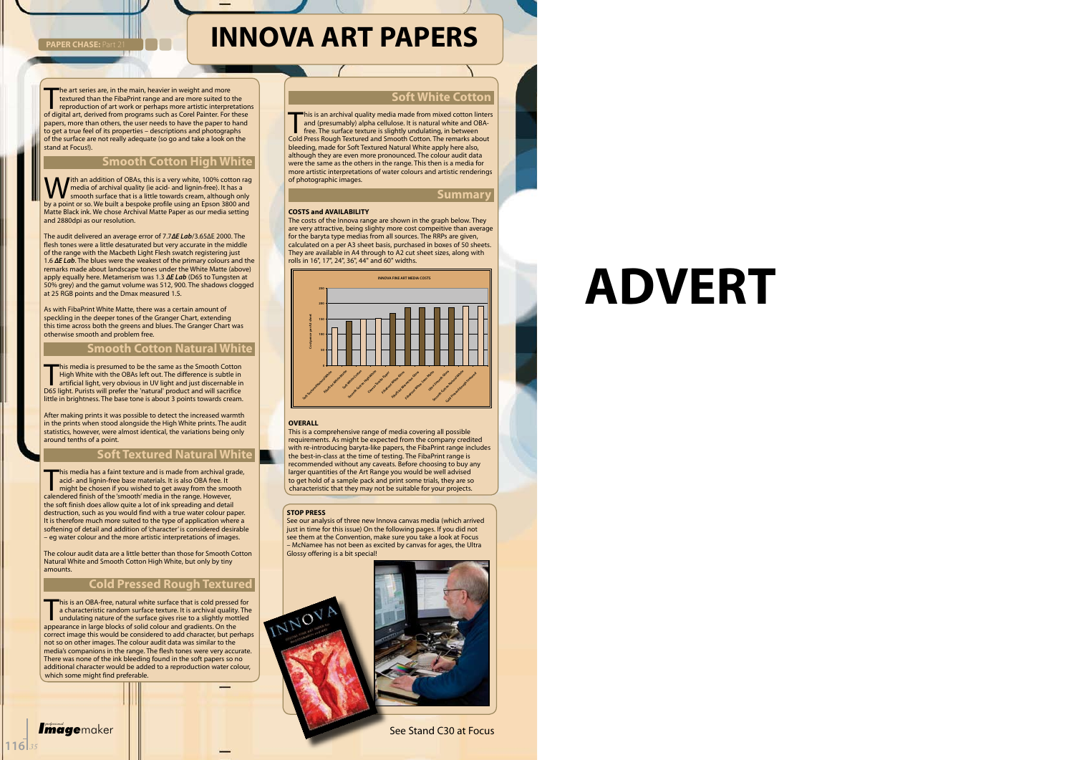The art series are, in the main, heavier in weight and more<br>textured than the FibaPrint range and are more suited to the<br>reproduction of art work or perhaps more artistic interpretation<br>of digital art, derived from program he art series are, in the main, heavier in weight and more textured than the FibaPrint range and are more suited to the reproduction of art work or perhaps more artistic interpretations papers, more than others, the user needs to have the paper to hand to get a true feel of its properties – descriptions and photographs of the surface are not really adequate (so go and take a look on the stand at Focus!).

**PAPER CHASE: Part** 

With an addition of OBAs, this is a very white, 100% cotton rag<br>
smooth surface that is a little towards cream, although only<br>
by a point or so We built a bespoke profile using an Epson 3800 and media of archival quality (ie acid- and lignin-free). It has a by a point or so. We built a bespoke profile using an Epson 3800 and Matte Black ink. We chose Archival Matte Paper as our media setting and 2880dpi as our resolution.

#### **Smooth Cotton High White**

This media is presumed to be the same as the Smooth Cotton<br>High White with the OBAs left out. The difference is subtle in<br>artificial light, very obvious in UV light and just discernable ir<br>D65 light. Purists will prefer th his media is presumed to be the same as the Smooth Cotton High White with the OBAs left out. The difference is subtle in artificial light, very obvious in UV light and just discernable in little in brightness. The base tone is about 3 points towards cream.

The audit delivered an average error of 7.7*∆E Lab*/3.65∆E 2000. The flesh tones were a little desaturated but very accurate in the middle of the range with the Macbeth Light Flesh swatch registering just 1.6 *∆E Lab*. The blues were the weakest of the primary colours and the remarks made about landscape tones under the White Matte (above) apply equally here. Metamerism was 1.3 *∆E Lab* (D65 to Tungsten at 50% grey) and the gamut volume was 512, 900. The shadows clogged at 25 RGB points and the Dmax measured 1.5.

This media has a faint texture and is made from archival gracid- and lignin-free base materials. It is also OBA free. It might be chosen if you wished to get away from the smocalendered finish of the 'smooth' media in the his media has a faint texture and is made from archival grade, acid- and lignin-free base materials. It is also OBA free. It might be chosen if you wished to get away from the smooth the soft finish does allow quite a lot of ink spreading and detail destruction, such as you would find with a true water colour paper. It is therefore much more suited to the type of application where a softening of detail and addition of 'character' is considered desirable – eg water colour and the more artistic interpretations of images.

As with FibaPrint White Matte, there was a certain amount of speckling in the deeper tones of the Granger Chart, extending this time across both the greens and blues. The Granger Chart was otherwise smooth and problem free.

#### **Smooth Cotton Natural White**

his is an OBA-free, natural white surface that is cold pressed<br>a characteristic random surface texture. It is archival quality<br>undulating nature of the surface gives rise to a slightly mot<br>appearance in large blocks of sol his is an OBA-free, natural white surface that is cold pressed for a characteristic random surface texture. It is archival quality. The undulating nature of the surface gives rise to a slightly mottled correct image this would be considered to add character, but perhaps not so on other images. The colour audit data was similar to the media's companions in the range. The flesh tones were very accurate. There was none of the ink bleeding found in the soft papers so no additional character would be added to a reproduction water colour, which some might find preferable.

*Imagemaker* 

After making prints it was possible to detect the increased warmth in the prints when stood alongside the High White prints. The audit statistics, however, were almost identical, the variations being only around tenths of a point.

This is an archival quality media made from mixed cotton linters<br>and (presumably) alpha cellulose. It is natural white and OBA-<br>free. The surface texture is slightly undulating, in between<br>Cold Press Rough Textured and Smo and (presumably) alpha cellulose. It is natural white and OBAfree. The surface texture is slightly undulating, in between Cold Press Rough Textured and Smooth Cotton. The remarks about bleeding, made for Soft Textured Natural White apply here also, although they are even more pronounced. The colour audit data were the same as the others in the range. This then is a media for more artistic interpretations of water colours and artistic renderings of photographic images.

#### **Soft Textured Natural White**

The colour audit data are a little better than those for Smooth Cotton Natural White and Smooth Cotton High White, but only by tiny amounts.

#### **Cold Pressed Rough Textured**

#### **Soft White Cotton**

**Summary**

#### **COSTS and AVAILABILITY**

The costs of the Innova range are shown in the graph below. They are very attractive, being slighty more cost compeitive than average for the baryta type medias from all sources. The RRPs are given, calculated on a per A3 sheet basis, purchased in boxes of 50 sheets. They are available in A4 through to A2 cut sheet sizes, along with rolls in 16", 17", 24", 36", 44" and 60" widths.

#### **OVERALL**

This is a comprehensive range of media covering all possible requirements. As might be expected from the company credited with re-introducing baryta-like papers, the FibaPrint range includes the best-in-class at the time of testing. The FibaPrint range is recommended without any caveats. Before choosing to buy any larger quantities of the Art Range you would be well advised to get hold of a sample pack and print some trials, they are so characteristic that they may not be suitable for your projects.

## **INNOVA ART PAPERS**



#### **STOP PRESS**

See our analysis of three new Innova canvas media (which arrived just in time for this issue) On the following pages. If you did not see them at the Convention, make sure you take a look at Focus – McNamee has not been as excited by canvas for ages, the Ultra Glossy offering is a bit special!



#### See Stand C30 at Focus

# **ADVERT**

**116** *<sup>35</sup>*